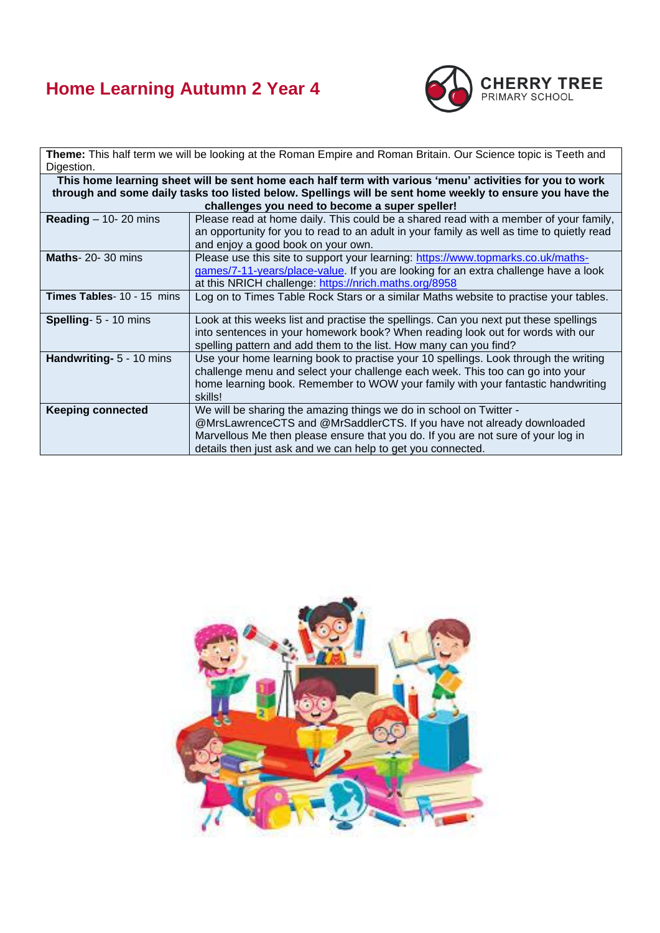## **Home Learning Autumn 2 Year 4**



**Theme:** This half term we will be looking at the Roman Empire and Roman Britain. Our Science topic is Teeth and Digestion.

| This home learning sheet will be sent home each half term with various 'menu' activities for you to work<br>through and some daily tasks too listed below. Spellings will be sent home weekly to ensure you have the |                                                                                                                                                                                                                                                                                                |  |  |
|----------------------------------------------------------------------------------------------------------------------------------------------------------------------------------------------------------------------|------------------------------------------------------------------------------------------------------------------------------------------------------------------------------------------------------------------------------------------------------------------------------------------------|--|--|
| challenges you need to become a super speller!                                                                                                                                                                       |                                                                                                                                                                                                                                                                                                |  |  |
| Reading $-$ 10- 20 mins                                                                                                                                                                                              | Please read at home daily. This could be a shared read with a member of your family,<br>an opportunity for you to read to an adult in your family as well as time to quietly read<br>and enjoy a good book on your own.                                                                        |  |  |
| <b>Maths-20-30 mins</b>                                                                                                                                                                                              | Please use this site to support your learning: https://www.topmarks.co.uk/maths-<br>games/7-11-years/place-value. If you are looking for an extra challenge have a look<br>at this NRICH challenge: https://nrich.maths.org/8958                                                               |  |  |
| Times Tables- 10 - 15 mins                                                                                                                                                                                           | Log on to Times Table Rock Stars or a similar Maths website to practise your tables.                                                                                                                                                                                                           |  |  |
| Spelling- 5 - 10 mins                                                                                                                                                                                                | Look at this weeks list and practise the spellings. Can you next put these spellings<br>into sentences in your homework book? When reading look out for words with our<br>spelling pattern and add them to the list. How many can you find?                                                    |  |  |
| Handwriting- 5 - 10 mins                                                                                                                                                                                             | Use your home learning book to practise your 10 spellings. Look through the writing<br>challenge menu and select your challenge each week. This too can go into your<br>home learning book. Remember to WOW your family with your fantastic handwriting<br>skills!                             |  |  |
| <b>Keeping connected</b>                                                                                                                                                                                             | We will be sharing the amazing things we do in school on Twitter -<br>@MrsLawrenceCTS and @MrSaddlerCTS. If you have not already downloaded<br>Marvellous Me then please ensure that you do. If you are not sure of your log in<br>details then just ask and we can help to get you connected. |  |  |

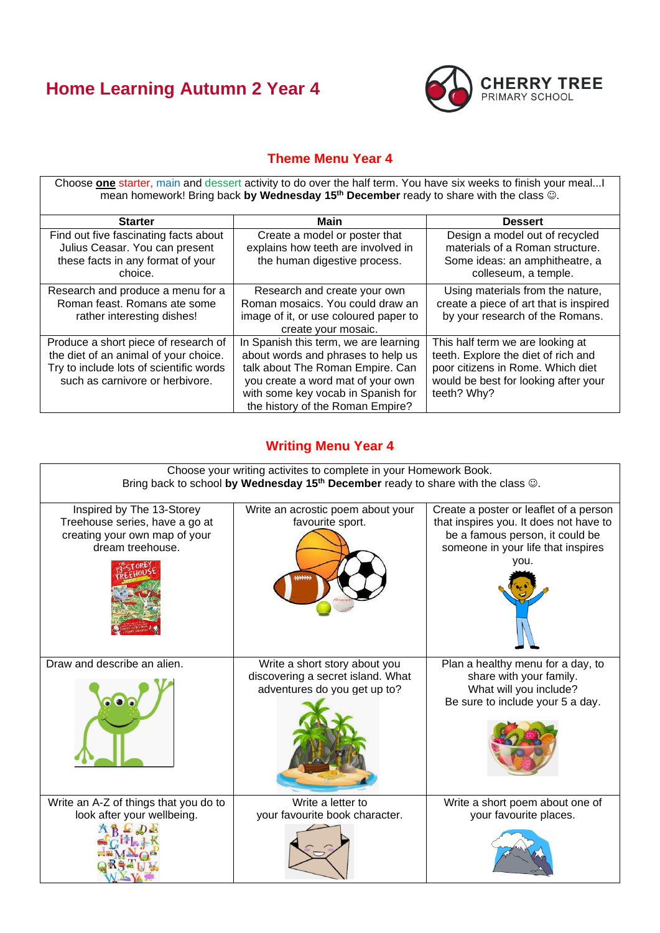## **Home Learning Autumn 2 Year 4**



## **Theme Menu Year 4**

Choose **one** starter, main and dessert activity to do over the half term. You have six weeks to finish your meal...I mean homework! Bring back **by Wednesday 15th December** ready to share with the class ☺.

| <b>Starter</b>                                                                                                                                              | Main                                                                                                                                                                                                                           | <b>Dessert</b>                                                                                                                                                      |  |
|-------------------------------------------------------------------------------------------------------------------------------------------------------------|--------------------------------------------------------------------------------------------------------------------------------------------------------------------------------------------------------------------------------|---------------------------------------------------------------------------------------------------------------------------------------------------------------------|--|
| Find out five fascinating facts about<br>Julius Ceasar. You can present<br>these facts in any format of your<br>choice.                                     | Create a model or poster that<br>explains how teeth are involved in<br>the human digestive process.                                                                                                                            | Design a model out of recycled<br>materials of a Roman structure.<br>Some ideas: an amphitheatre, a<br>colleseum, a temple.                                         |  |
| Research and produce a menu for a<br>Roman feast. Romans ate some<br>rather interesting dishes!                                                             | Research and create your own<br>Roman mosaics. You could draw an<br>image of it, or use coloured paper to<br>create your mosaic.                                                                                               | Using materials from the nature,<br>create a piece of art that is inspired<br>by your research of the Romans.                                                       |  |
| Produce a short piece of research of<br>the diet of an animal of your choice.<br>Try to include lots of scientific words<br>such as carnivore or herbivore. | In Spanish this term, we are learning<br>about words and phrases to help us<br>talk about The Roman Empire. Can<br>you create a word mat of your own<br>with some key vocab in Spanish for<br>the history of the Roman Empire? | This half term we are looking at<br>teeth. Explore the diet of rich and<br>poor citizens in Rome. Which diet<br>would be best for looking after your<br>teeth? Why? |  |

## **Writing Menu Year 4**